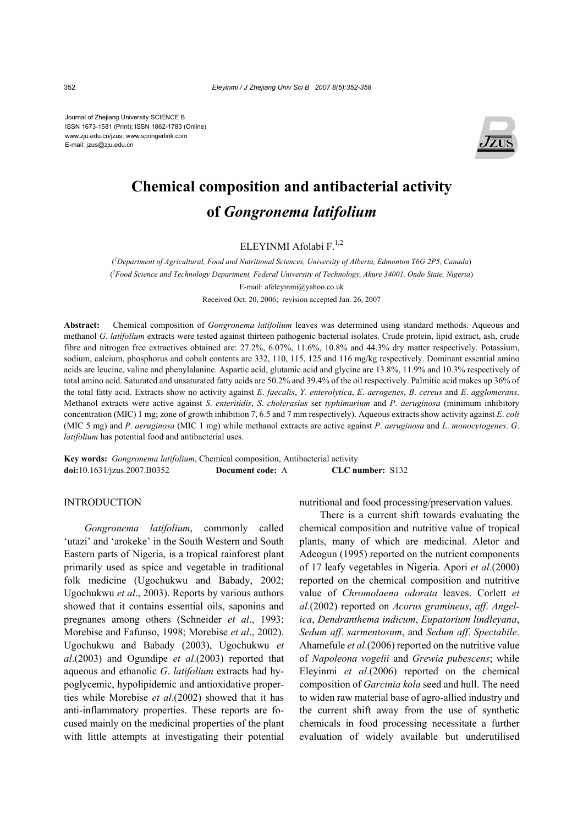Journal of Zhejiang University SCIENCE B ISSN 1673-1581 (Print); ISSN 1862-1783 (Online) www.zju.edu.cn/jzus; www.springerlink.com E-mail: jzus@zju.edu.cn



# **Chemical composition and antibacterial activity of** *Gongronema latifolium*

ELEYINMI Afolabi F $^{1,2}$ 

( *1 Department of Agricultural, Food and Nutritional Sciences, University of Alberta, Edmonton T6G 2P5, Canada*) ( *2 Food Science and Technology Department, Federal University of Technology, Akure 34001, Ondo State, Nigeria*) E-mail: afeleyinmi@yahoo.co.uk Received Oct. 20, 2006; revision accepted Jan. 26, 2007

**Abstract:** Chemical composition of *Gongronema latifolium* leaves was determined using standard methods. Aqueous and methanol *G*. *latifolium* extracts were tested against thirteen pathogenic bacterial isolates. Crude protein, lipid extract, ash, crude fibre and nitrogen free extractives obtained are: 27.2%, 6.07%, 11.6%, 10.8% and 44.3% dry matter respectively. Potassium, sodium, calcium, phosphorus and cobalt contents are 332, 110, 115, 125 and 116 mg/kg respectively. Dominant essential amino acids are leucine, valine and phenylalanine. Aspartic acid, glutamic acid and glycine are 13.8%, 11.9% and 10.3% respectively of total amino acid. Saturated and unsaturated fatty acids are 50.2% and 39.4% of the oil respectively. Palmitic acid makes up 36% of the total fatty acid. Extracts show no activity against *E*. *faecalis*, *Y*. *enterolytica*, *E*. *aerogenes*, *B*. *cereus* and *E*. *agglomerans*. Methanol extracts were active against *S*. *enteritidis*, *S*. *cholerasius* ser *typhimurium* and *P*. *aeruginosa* (minimum inhibitory concentration (MIC) 1 mg; zone of growth inhibition 7, 6.5 and 7 mm respectively). Aqueous extracts show activity against *E*. *coli*  (MIC 5 mg) and *P*. *aeruginosa* (MIC 1 mg) while methanol extracts are active against *P*. *aeruginosa* and *L*. *monocytogenes*. *G*. *latifolium* has potential food and antibacterial uses.

**Key words:** *Gongronema latifolium*, Chemical composition, Antibacterial activity **doi:**10.1631/jzus.2007.B0352 **Document code:** A **CLC number:** S132

# INTRODUCTION

*Gongronema latifolium*, commonly called 'utazi' and 'arokeke' in the South Western and South Eastern parts of Nigeria, is a tropical rainforest plant primarily used as spice and vegetable in traditional folk medicine (Ugochukwu and Babady, 2002; Ugochukwu *et al*., 2003). Reports by various authors showed that it contains essential oils, saponins and pregnanes among others (Schneider *et al*., 1993; Morebise and Fafunso, 1998; Morebise *et al*., 2002). Ugochukwu and Babady (2003), Ugochukwu *et al*.(2003) and Ogundipe *et al*.(2003) reported that aqueous and ethanolic *G*. *latifolium* extracts had hypoglycemic, hypolipidemic and antioxidative properties while Morebise *et al*.(2002) showed that it has anti-inflammatory properties. These reports are focused mainly on the medicinal properties of the plant with little attempts at investigating their potential nutritional and food processing/preservation values.

There is a current shift towards evaluating the chemical composition and nutritive value of tropical plants, many of which are medicinal. Aletor and Adeogun (1995) reported on the nutrient components of 17 leafy vegetables in Nigeria. Apori *et al*.(2000) reported on the chemical composition and nutritive value of *Chromolaena odorata* leaves. Corlett *et al*.(2002) reported on *Acorus gramineus*, *aff*. *Angelica*, *Dendranthema indicum*, *Eupatorium lindleyana*, *Sedum aff*. *sarmentosum*, and *Sedum aff*. *Spectabile*. Ahamefule *et al*.(2006) reported on the nutritive value of *Napoleona vogelii* and *Grewia pubescens*; while Eleyinmi *et al*.(2006) reported on the chemical composition of *Garcinia kola* seed and hull. The need to widen raw material base of agro-allied industry and the current shift away from the use of synthetic chemicals in food processing necessitate a further evaluation of widely available but underutilised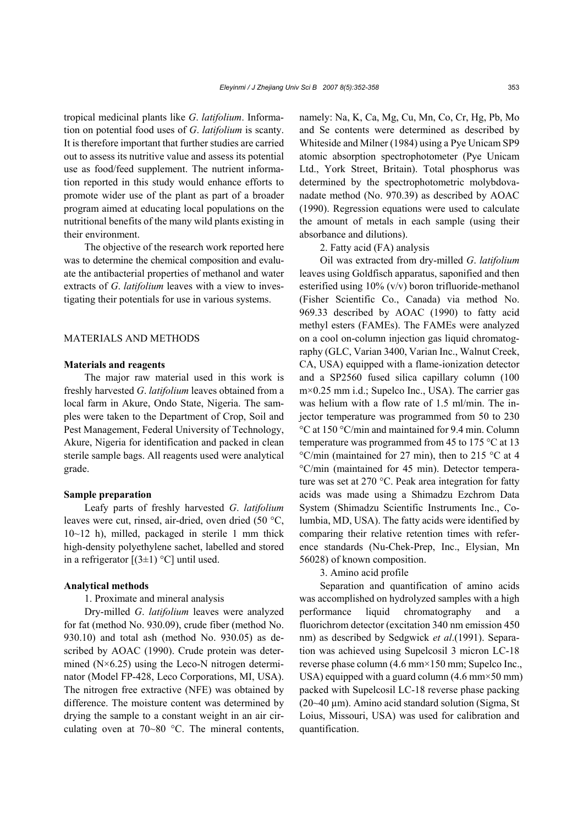tropical medicinal plants like *G*. *latifolium*. Information on potential food uses of *G*. *latifolium* is scanty. It is therefore important that further studies are carried out to assess its nutritive value and assess its potential use as food/feed supplement. The nutrient information reported in this study would enhance efforts to promote wider use of the plant as part of a broader program aimed at educating local populations on the nutritional benefits of the many wild plants existing in their environment.

The objective of the research work reported here was to determine the chemical composition and evaluate the antibacterial properties of methanol and water extracts of *G*. *latifolium* leaves with a view to investigating their potentials for use in various systems.

# MATERIALS AND METHODS

## **Materials and reagents**

The major raw material used in this work is freshly harvested *G*. *latifolium* leaves obtained from a local farm in Akure, Ondo State, Nigeria. The samples were taken to the Department of Crop, Soil and Pest Management, Federal University of Technology, Akure, Nigeria for identification and packed in clean sterile sample bags. All reagents used were analytical grade.

## **Sample preparation**

Leafy parts of freshly harvested *G*. *latifolium*  leaves were cut, rinsed, air-dried, oven dried (50 °C, 10~12 h), milled, packaged in sterile 1 mm thick high-density polyethylene sachet, labelled and stored in a refrigerator  $[(3\pm1)$  °C] until used.

## **Analytical methods**

## 1. Proximate and mineral analysis

Dry-milled *G*. *latifolium* leaves were analyzed for fat (method No. 930.09), crude fiber (method No. 930.10) and total ash (method No. 930.05) as described by AOAC (1990). Crude protein was determined  $(N\times 6.25)$  using the Leco-N nitrogen determinator (Model FP-428, Leco Corporations, MI, USA). The nitrogen free extractive (NFE) was obtained by difference. The moisture content was determined by drying the sample to a constant weight in an air circulating oven at 70~80 °C. The mineral contents,

namely: Na, K, Ca, Mg, Cu, Mn, Co, Cr, Hg, Pb, Mo and Se contents were determined as described by Whiteside and Milner (1984) using a Pye Unicam SP9 atomic absorption spectrophotometer (Pye Unicam Ltd., York Street, Britain). Total phosphorus was determined by the spectrophotometric molybdovanadate method (No. 970.39) as described by AOAC (1990). Regression equations were used to calculate the amount of metals in each sample (using their absorbance and dilutions).

2. Fatty acid (FA) analysis

Oil was extracted from dry-milled *G*. *latifolium*  leaves using Goldfisch apparatus, saponified and then esterified using 10% (v/v) boron trifluoride-methanol (Fisher Scientific Co., Canada) via method No. 969.33 described by AOAC (1990) to fatty acid methyl esters (FAMEs). The FAMEs were analyzed on a cool on-column injection gas liquid chromatography (GLC, Varian 3400, Varian Inc., Walnut Creek, CA, USA) equipped with a flame-ionization detector and a SP2560 fused silica capillary column (100 m×0.25 mm i.d.; Supelco Inc., USA). The carrier gas was helium with a flow rate of 1.5 ml/min. The injector temperature was programmed from 50 to 230 °C at 150 °C/min and maintained for 9.4 min. Column temperature was programmed from 45 to 175 °C at 13 °C/min (maintained for 27 min), then to 215 °C at 4 °C/min (maintained for 45 min). Detector temperature was set at 270 °C. Peak area integration for fatty acids was made using a Shimadzu Ezchrom Data System (Shimadzu Scientific Instruments Inc., Columbia, MD, USA). The fatty acids were identified by comparing their relative retention times with reference standards (Nu-Chek-Prep, Inc., Elysian, Mn 56028) of known composition.

## 3. Amino acid profile

Separation and quantification of amino acids was accomplished on hydrolyzed samples with a high performance liquid chromatography and a fluorichrom detector (excitation 340 nm emission 450 nm) as described by Sedgwick *et al*.(1991). Separation was achieved using Supelcosil 3 micron LC-18 reverse phase column (4.6 mm×150 mm; Supelco Inc., USA) equipped with a guard column  $(4.6 \text{ mm} \times 50 \text{ mm})$ packed with Supelcosil LC-18 reverse phase packing  $(20-40 \mu m)$ . Amino acid standard solution (Sigma, St Loius, Missouri, USA) was used for calibration and quantification.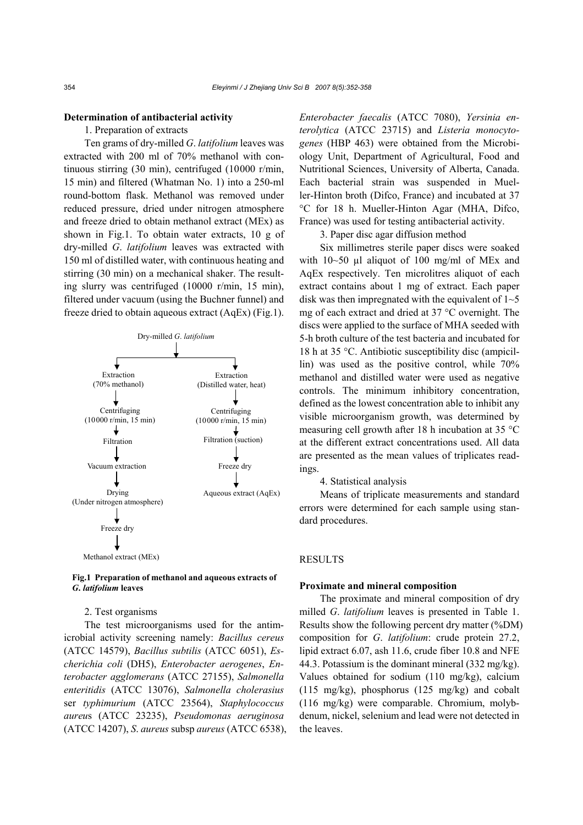# **Determination of antibacterial activity**

# 1. Preparation of extracts

Ten grams of dry-milled *G*. *latifolium* leaves was extracted with 200 ml of 70% methanol with continuous stirring (30 min), centrifuged (10000 r/min, 15 min) and filtered (Whatman No. 1) into a 250-ml round-bottom flask. Methanol was removed under reduced pressure, dried under nitrogen atmosphere and freeze dried to obtain methanol extract (MEx) as shown in Fig.1. To obtain water extracts, 10 g of dry-milled *G*. *latifolium* leaves was extracted with 150 ml of distilled water, with continuous heating and stirring (30 min) on a mechanical shaker. The resulting slurry was centrifuged (10000 r/min, 15 min), filtered under vacuum (using the Buchner funnel) and freeze dried to obtain aqueous extract (AqEx) (Fig.1).



## **Fig.1 Preparation of methanol and aqueous extracts of**  *G***.** *latifolium* **leaves**

#### 2. Test organisms

The test microorganisms used for the antimicrobial activity screening namely: *Bacillus cereus*  (ATCC 14579), *Bacillus subtilis* (ATCC 6051), *Escherichia coli* (DH5), *Enterobacter aerogenes*, *Enterobacter agglomerans* (ATCC 27155), *Salmonella enteritidis* (ATCC 13076), *Salmonella cholerasius*  ser *typhimurium* (ATCC 23564), *Staphylococcus aureu*s (ATCC 23235), *Pseudomonas aeruginosa* (ATCC 14207), *S*. *aureus* subsp *aureus* (ATCC 6538), *Enterobacter faecalis* (ATCC 7080), *Yersinia enterolytica* (ATCC 23715) and *Listeria monocytogenes* (HBP 463) were obtained from the Microbiology Unit, Department of Agricultural, Food and Nutritional Sciences, University of Alberta, Canada. Each bacterial strain was suspended in Mueller-Hinton broth (Difco, France) and incubated at 37 °C for 18 h. Mueller-Hinton Agar (MHA, Difco, France) was used for testing antibacterial activity.

3. Paper disc agar diffusion method

Six millimetres sterile paper discs were soaked with 10~50 µl aliquot of 100 mg/ml of MEx and AqEx respectively. Ten microlitres aliquot of each extract contains about 1 mg of extract. Each paper disk was then impregnated with the equivalent of  $1-5$ mg of each extract and dried at 37 °C overnight. The discs were applied to the surface of MHA seeded with 5-h broth culture of the test bacteria and incubated for 18 h at 35 °C. Antibiotic susceptibility disc (ampicillin) was used as the positive control, while 70% methanol and distilled water were used as negative controls. The minimum inhibitory concentration, defined as the lowest concentration able to inhibit any visible microorganism growth, was determined by measuring cell growth after 18 h incubation at 35 °C at the different extract concentrations used. All data are presented as the mean values of triplicates readings.

4. Statistical analysis

Means of triplicate measurements and standard errors were determined for each sample using standard procedures.

#### RESULTS

# **Proximate and mineral composition**

The proximate and mineral composition of dry milled *G*. *latifolium* leaves is presented in Table 1. Results show the following percent dry matter (%DM) composition for *G*. *latifolium*: crude protein 27.2, lipid extract 6.07, ash 11.6, crude fiber 10.8 and NFE 44.3. Potassium is the dominant mineral (332 mg/kg). Values obtained for sodium (110 mg/kg), calcium (115 mg/kg), phosphorus (125 mg/kg) and cobalt (116 mg/kg) were comparable. Chromium, molybdenum, nickel, selenium and lead were not detected in the leaves.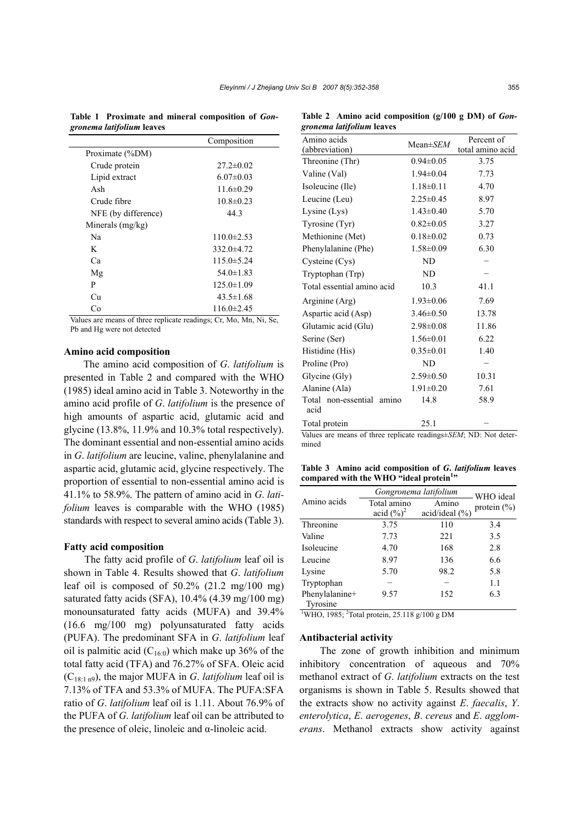**Table 1 Proximate and mineral composition of** *Gongronema latifolium* **leaves** 

|                     | Composition      |  |  |
|---------------------|------------------|--|--|
| Proximate (%DM)     |                  |  |  |
| Crude protein       | $27.2 \pm 0.02$  |  |  |
| Lipid extract       | $6.07 \pm 0.03$  |  |  |
| Ash                 | $11.6 \pm 0.29$  |  |  |
| Crude fibre         | $10.8 \pm 0.23$  |  |  |
| NFE (by difference) | 44.3             |  |  |
| Minerals $(mg/kg)$  |                  |  |  |
| Na                  | $110.0 \pm 2.53$ |  |  |
| K                   | $332.0 \pm 4.72$ |  |  |
| Ca                  | $115.0 \pm 5.24$ |  |  |
| Mg                  | $54.0 \pm 1.83$  |  |  |
| P                   | $125.0 \pm 1.09$ |  |  |
| Сu                  | $43.5 \pm 1.68$  |  |  |
| Cо                  | $116.0 \pm 2.45$ |  |  |

Values are means of three replicate readings; Cr, Mo, Mn, Ni, Se, Pb and Hg were not detected

## **Amino acid composition**

The amino acid composition of *G*. *latifolium* is presented in Table 2 and compared with the WHO (1985) ideal amino acid in Table 3. Noteworthy in the amino acid profile of *G*. *latifolium* is the presence of high amounts of aspartic acid, glutamic acid and glycine (13.8%, 11.9% and 10.3% total respectively). The dominant essential and non-essential amino acids in *G*. *latifolium* are leucine, valine, phenylalanine and aspartic acid, glutamic acid, glycine respectively. The proportion of essential to non-essential amino acid is 41.1% to 58.9%. The pattern of amino acid in *G*. *latifolium* leaves is comparable with the WHO (1985) standards with respect to several amino acids (Table 3).

#### **Fatty acid composition**

The fatty acid profile of *G*. *latifolium* leaf oil is shown in Table 4. Results showed that *G*. *latifolium* leaf oil is composed of  $50.2\%$  (21.2 mg/100 mg) saturated fatty acids (SFA), 10.4% (4.39 mg/100 mg) monounsaturated fatty acids (MUFA) and 39.4% (16.6 mg/100 mg) polyunsaturated fatty acids (PUFA). The predominant SFA in *G*. *latifolium* leaf oil is palmitic acid  $(C_{160})$  which make up 36% of the total fatty acid (TFA) and 76.27% of SFA. Oleic acid (C18:1 n9), the major MUFA in *G*. *latifolium* leaf oil is 7.13% of TFA and 53.3% of MUFA. The PUFA:SFA ratio of *G*. *latifolium* leaf oil is 1.11. About 76.9% of the PUFA of *G*. *latifolium* leaf oil can be attributed to the presence of oleic, linoleic and α-linoleic acid.

Table 2 Amino acid composition (g/100 g DM) of *Gongronema latifolium* **leaves** 

| Amino acids<br>(abbreviation)                                       | $Mean \pm SEM$  | Percent of<br>total amino acid |  |  |
|---------------------------------------------------------------------|-----------------|--------------------------------|--|--|
| Threonine (Thr)                                                     | $0.94 \pm 0.05$ | 3.75                           |  |  |
| Valine (Val)                                                        | $1.94 \pm 0.04$ | 7.73                           |  |  |
| Isoleucine (Ile)                                                    | $1.18 \pm 0.11$ | 4.70                           |  |  |
| Leucine (Leu)                                                       | $2.25 \pm 0.45$ | 8.97                           |  |  |
| Lysine (Lys)                                                        | $1.43 \pm 0.40$ | 5.70                           |  |  |
| Tyrosine (Tyr)                                                      | $0.82 \pm 0.05$ | 3.27                           |  |  |
| Methionine (Met)                                                    | $0.18 \pm 0.02$ | 0.73                           |  |  |
| Phenylalanine (Phe)                                                 | $1.58 \pm 0.09$ | 6.30                           |  |  |
| Cysteine (Cys)                                                      | ND              |                                |  |  |
| Tryptophan (Trp)                                                    | ND              |                                |  |  |
| Total essential amino acid                                          | 10.3            | 41.1                           |  |  |
| Arginine (Arg)                                                      | $1.93 \pm 0.06$ | 7.69                           |  |  |
| Aspartic acid (Asp)                                                 | $3.46 \pm 0.50$ | 13.78                          |  |  |
| Glutamic acid (Glu)                                                 | $2.98 \pm 0.08$ | 11.86                          |  |  |
| Serine (Ser)                                                        | $1.56 \pm 0.01$ | 6.22                           |  |  |
| Histidine (His)                                                     | $0.35 \pm 0.01$ | 1.40                           |  |  |
| Proline (Pro)                                                       | ND              |                                |  |  |
| Glycine (Gly)                                                       | $2.59 \pm 0.50$ | 10.31                          |  |  |
| Alanine (Ala)                                                       | $1.91 \pm 0.20$ | 7.61                           |  |  |
| Total non-essential amino<br>acid                                   | 14.8            | 58.9                           |  |  |
| Total protein                                                       | 25.1            |                                |  |  |
| Values are means of three replicate readings+ $SFM$ : ND: Not deter |                 |                                |  |  |

Values are means of three replicate readings±*SEM*; ND: Not determined

**Table 3 Amino acid composition of** *G***.** *latifolium* **leaves**  compared with the WHO "ideal protein<sup>1</sup>"

|                | Gongronema latifolium | WHO ideal          |                 |
|----------------|-----------------------|--------------------|-----------------|
| Amino acids    | Total amino           | Amino              | protein $(\% )$ |
|                | acid $(\%)^2$         | acid/ideal $(\% )$ |                 |
| Threonine      | 3.75                  | 110                | 3.4             |
| Valine         | 7.73                  | 221                | 3.5             |
| Isoleucine     | 4.70                  | 168                | 2.8             |
| Leucine        | 8.97                  | 136                | 6.6             |
| Lysine         | 5.70                  | 98.2               | 5.8             |
| Tryptophan     |                       |                    | 1.1             |
| Phenylalanine+ | 9.57                  | 152                | 6.3             |
| Tyrosine       |                       |                    |                 |

<sup>1</sup>WHO, 1985; <sup>2</sup>Total protein, 25.118 g/100 g DM

## **Antibacterial activity**

The zone of growth inhibition and minimum inhibitory concentration of aqueous and 70% methanol extract of *G*. *latifolium* extracts on the test organisms is shown in Table 5. Results showed that the extracts show no activity against *E*. *faecalis*, *Y*. *enterolytica*, *E*. *aerogenes*, *B*. *cereus* and *E*. *agglomerans*. Methanol extracts show activity against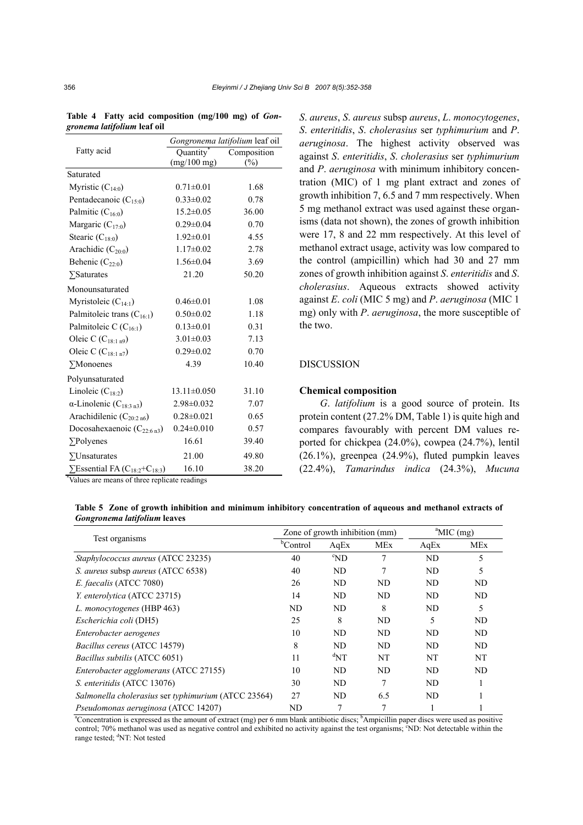|                                                             | Gongronema latifolium leaf oil |             |  |  |
|-------------------------------------------------------------|--------------------------------|-------------|--|--|
| Fatty acid                                                  | Quantity <sup>®</sup>          | Composition |  |  |
|                                                             | $(mg/100$ mg)                  | (%)         |  |  |
| Saturated                                                   |                                |             |  |  |
| Myristic $(C_{14:0})$                                       | $0.71 \pm 0.01$                | 1.68        |  |  |
| Pentadecanoic $(C_{15:0})$                                  | $0.33 \pm 0.02$                | 0.78        |  |  |
| Palmitic $(C_{16:0})$                                       | $15.2 \pm 0.05$                | 36.00       |  |  |
| Margaric $(C_{17:0})$                                       | $0.29 \pm 0.04$                | 0.70        |  |  |
| Stearic $(C_{18:0})$                                        | $1.92 \pm 0.01$                | 4.55        |  |  |
| Arachidic $(C_{20:0})$                                      | $1.17 \pm 0.02$                | 2.78        |  |  |
| Behenic $(C_{22:0})$                                        | $1.56 \pm 0.04$                | 3.69        |  |  |
| $\sum$ Saturates                                            | 21.20                          | 50.20       |  |  |
| Monounsaturated                                             |                                |             |  |  |
| Myristoleic $(C_{14:1})$                                    | $0.46 \pm 0.01$                | 1.08        |  |  |
| Palmitoleic trans $(C_{16:1})$                              | $0.50 \pm 0.02$                | 1.18        |  |  |
| Palmitoleic C (C <sub>16:1</sub> )                          | $0.13 \pm 0.01$                | 0.31        |  |  |
| Oleic C $(C_{18:1 n9})$                                     | $3.01 \pm 0.03$                | 7.13        |  |  |
| Oleic C $(C_{18:1 n7})$                                     | $0.29 \pm 0.02$                | 0.70        |  |  |
| $\Sigma$ Monoenes                                           | 4.39                           | 10.40       |  |  |
| Polyunsaturated                                             |                                |             |  |  |
| Linoleic $(C_{18:2})$                                       | $13.11 \pm 0.050$              | 31.10       |  |  |
| $\alpha$ -Linolenic (C <sub>18:3 n3</sub> )                 | 2.98±0.032                     | 7.07        |  |  |
| Arachidilenic $(C_{20:2n6})$                                | $0.28 \pm 0.021$               | 0.65        |  |  |
| Docosahexaenoic $(C_{22:6n3})$                              | $0.24 \pm 0.010$               | 0.57        |  |  |
| $\Sigma$ Polyenes                                           | 16.61                          | 39.40       |  |  |
| $\Sigma$ Unsaturates                                        | 21.00                          | 49.80       |  |  |
| $\sum$ Essential FA (C <sub>18:2</sub> +C <sub>18:3</sub> ) | 16.10                          | 38.20       |  |  |
| *Values are means of three replicate readings               |                                |             |  |  |

**Table 4 Fatty acid composition (mg/100 mg) of** *Gongronema latifolium* **leaf oil** 

*S*. *aureus*, *S*. *aureus* subsp *aureus*, *L*. *monocytogenes*, *S*. *enteritidis*, *S*. *cholerasius* ser *typhimurium* and *P*. *aeruginosa*. The highest activity observed was against *S*. *enteritidis*, *S*. *cholerasius* ser *typhimurium* and *P*. *aeruginosa* with minimum inhibitory concentration (MIC) of 1 mg plant extract and zones of growth inhibition 7, 6.5 and 7 mm respectively. When 5 mg methanol extract was used against these organisms (data not shown), the zones of growth inhibition were 17, 8 and 22 mm respectively. At this level of methanol extract usage, activity was low compared to the control (ampicillin) which had 30 and 27 mm zones of growth inhibition against *S*. *enteritidis* and *S*. *cholerasius*. Aqueous extracts showed activity against *E*. *coli* (MIC 5 mg) and *P*. *aeruginosa* (MIC 1 mg) only with *P*. *aeruginosa*, the more susceptible of the two.

# DISCUSSION

## **Chemical composition**

*G*. *latifolium* is a good source of protein. Its protein content (27.2% DM, Table 1) is quite high and compares favourably with percent DM values reported for chickpea (24.0%), cowpea (24.7%), lentil (26.1%), greenpea (24.9%), fluted pumpkin leaves (22.4%), *Tamarindus indica* (24.3%), *Mucuna* 

**Table 5 Zone of growth inhibition and minimum inhibitory concentration of aqueous and methanol extracts of**  *Gongronema latifolium* **leaves** 

| Test organisms                                                                                                                                                   | Zone of growth inhibition (mm) |                            |            | $^{\circ}$ MIC (mg) |            |
|------------------------------------------------------------------------------------------------------------------------------------------------------------------|--------------------------------|----------------------------|------------|---------------------|------------|
|                                                                                                                                                                  | <sup>b</sup> Control           | AqEx                       | <b>MEx</b> | AqEx                | <b>MEx</b> |
| Staphylococcus aureus (ATCC 23235)                                                                                                                               | 40                             | $^{\circ}ND$               | 7          | ND                  | 5          |
| S. aureus subsp aureus (ATCC 6538)                                                                                                                               | 40                             | ND                         | 7          | ND                  | 5          |
| E. faecalis (ATCC 7080)                                                                                                                                          | 26                             | ND                         | ND         | ND                  | ND         |
| Y. enterolytica (ATCC 23715)                                                                                                                                     | 14                             | ND                         | ND         | ND                  | ND         |
| L. monocytogenes (HBP 463)                                                                                                                                       | ND                             | ND                         | 8          | ND                  | 5          |
| Escherichia coli (DH5)                                                                                                                                           | 25                             | 8                          | ND         | 5                   | ND         |
| Enterobacter aerogenes                                                                                                                                           | 10                             | ND                         | ND         | ND                  | ND         |
| Bacillus cereus (ATCC 14579)                                                                                                                                     | 8                              | ND                         | ND         | ND                  | ND         |
| <i>Bacillus subtilis</i> (ATCC 6051)                                                                                                                             | 11                             | $\mathrm{d}_{\mathrm{NT}}$ | NT         | NT                  | NT         |
| Enterobacter agglomerans (ATCC 27155)                                                                                                                            | 10                             | ND                         | ND         | ND                  | ND         |
| S. enteritidis (ATCC 13076)                                                                                                                                      | 30                             | ND                         | 7          | ND                  |            |
| Salmonella cholerasius ser typhimurium (ATCC 23564)                                                                                                              | 27                             | ND                         | 6.5        | ND                  |            |
| Pseudomonas aeruginosa (ATCC 14207)                                                                                                                              | ND                             | 7                          |            |                     |            |
| <sup>a</sup> Concentration is expressed as the amount of extract (mg) per 6 mm blank antibiotic discs; <sup>b</sup> Ampicillin paper discs were used as positive |                                |                            |            |                     |            |

control; 70% methanol was used as negative control and exhibited no activity against the test organisms; SND: Not detectable within the range tested; <sup>d</sup>NT: Not tested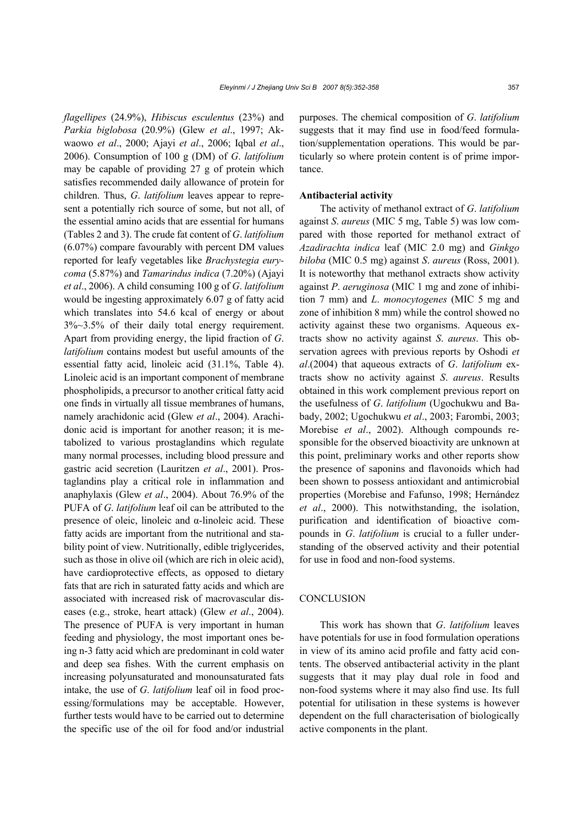*flagellipes* (24.9%), *Hibiscus esculentus* (23%) and *Parkia biglobosa* (20.9%) (Glew *et al*., 1997; Akwaowo *et al*., 2000; Ajayi *et al*., 2006; Iqbal *et al*., 2006). Consumption of 100 g (DM) of *G*. *latifolium*  may be capable of providing 27 g of protein which satisfies recommended daily allowance of protein for children. Thus, *G*. *latifolium* leaves appear to represent a potentially rich source of some, but not all, of the essential amino acids that are essential for humans (Tables 2 and 3). The crude fat content of *G*. *latifolium* (6.07%) compare favourably with percent DM values reported for leafy vegetables like *Brachystegia eurycoma* (5.87%) and *Tamarindus indica* (7.20%) (Ajayi *et al*., 2006). A child consuming 100 g of *G*. *latifolium*  would be ingesting approximately 6.07 g of fatty acid which translates into 54.6 kcal of energy or about 3%~3.5% of their daily total energy requirement. Apart from providing energy, the lipid fraction of *G*. *latifolium* contains modest but useful amounts of the essential fatty acid, linoleic acid (31.1%, Table 4). Linoleic acid is an important component of membrane phospholipids, a precursor to another critical fatty acid one finds in virtually all tissue membranes of humans, namely arachidonic acid (Glew *et al*., 2004). Arachidonic acid is important for another reason; it is metabolized to various prostaglandins which regulate many normal processes, including blood pressure and gastric acid secretion (Lauritzen *et al*., 2001). Prostaglandins play a critical role in inflammation and anaphylaxis (Glew *et al*., 2004). About 76.9% of the PUFA of *G*. *latifolium* leaf oil can be attributed to the presence of oleic, linoleic and α-linoleic acid. These fatty acids are important from the nutritional and stability point of view. Nutritionally, edible triglycerides, such as those in olive oil (which are rich in oleic acid), have cardioprotective effects, as opposed to dietary fats that are rich in saturated fatty acids and which are associated with increased risk of macrovascular diseases (e.g., stroke, heart attack) (Glew *et al*., 2004). The presence of PUFA is very important in human feeding and physiology, the most important ones being n-3 fatty acid which are predominant in cold water and deep sea fishes. With the current emphasis on increasing polyunsaturated and monounsaturated fats intake, the use of *G*. *latifolium* leaf oil in food processing/formulations may be acceptable. However, further tests would have to be carried out to determine the specific use of the oil for food and/or industrial

purposes. The chemical composition of *G*. *latifolium*  suggests that it may find use in food/feed formulation/supplementation operations. This would be particularly so where protein content is of prime importance.

## **Antibacterial activity**

The activity of methanol extract of *G*. *latifolium*  against *S*. *aureus* (MIC 5 mg, Table 5) was low compared with those reported for methanol extract of *Azadirachta indica* leaf (MIC 2.0 mg) and *Ginkgo biloba* (MIC 0.5 mg) against *S*. *aureus* (Ross, 2001). It is noteworthy that methanol extracts show activity against *P*. *aeruginosa* (MIC 1 mg and zone of inhibition 7 mm) and *L*. *monocytogenes* (MIC 5 mg and zone of inhibition 8 mm) while the control showed no activity against these two organisms. Aqueous extracts show no activity against *S*. *aureus*. This observation agrees with previous reports by Oshodi *et al*.(2004) that aqueous extracts of *G*. *latifolium* extracts show no activity against *S*. *aureus*. Results obtained in this work complement previous report on the usefulness of *G*. *latifolium* (Ugochukwu and Babady, 2002; Ugochukwu *et al*., 2003; Farombi, 2003; Morebise *et al*., 2002). Although compounds responsible for the observed bioactivity are unknown at this point, preliminary works and other reports show the presence of saponins and flavonoids which had been shown to possess antioxidant and antimicrobial properties (Morebise and Fafunso, 1998; Hernández *et al*., 2000). This notwithstanding, the isolation, purification and identification of bioactive compounds in *G*. *latifolium* is crucial to a fuller understanding of the observed activity and their potential for use in food and non-food systems.

## **CONCLUSION**

This work has shown that *G*. *latifolium* leaves have potentials for use in food formulation operations in view of its amino acid profile and fatty acid contents. The observed antibacterial activity in the plant suggests that it may play dual role in food and non-food systems where it may also find use. Its full potential for utilisation in these systems is however dependent on the full characterisation of biologically active components in the plant.